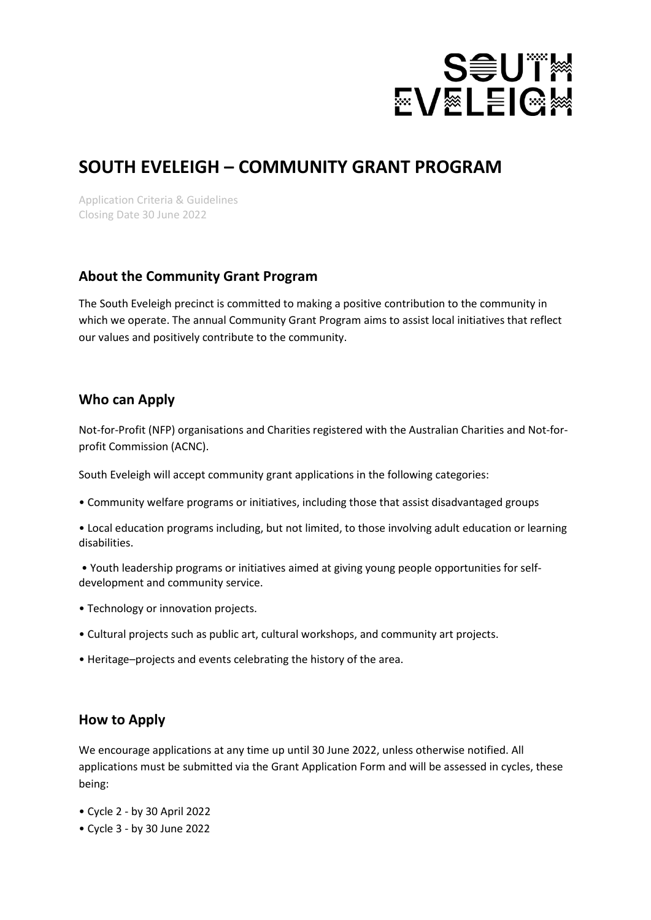

# **SOUTH EVELEIGH – COMMUNITY GRANT PROGRAM**

Application Criteria & Guidelines Closing Date 30 June 2022

#### **About the Community Grant Program**

The South Eveleigh precinct is committed to making a positive contribution to the community in which we operate. The annual Community Grant Program aims to assist local initiatives that reflect our values and positively contribute to the community.

#### **Who can Apply**

Not-for-Profit (NFP) organisations and Charities registered with the Australian Charities and Not-forprofit Commission (ACNC).

South Eveleigh will accept community grant applications in the following categories:

• Community welfare programs or initiatives, including those that assist disadvantaged groups

• Local education programs including, but not limited, to those involving adult education or learning disabilities.

- Youth leadership programs or initiatives aimed at giving young people opportunities for selfdevelopment and community service.
- Technology or innovation projects.
- Cultural projects such as public art, cultural workshops, and community art projects.
- Heritage–projects and events celebrating the history of the area.

#### **How to Apply**

We encourage applications at any time up until 30 June 2022, unless otherwise notified. All applications must be submitted via the Grant Application Form and will be assessed in cycles, these being:

- Cycle 2 by 30 April 2022
- Cycle 3 by 30 June 2022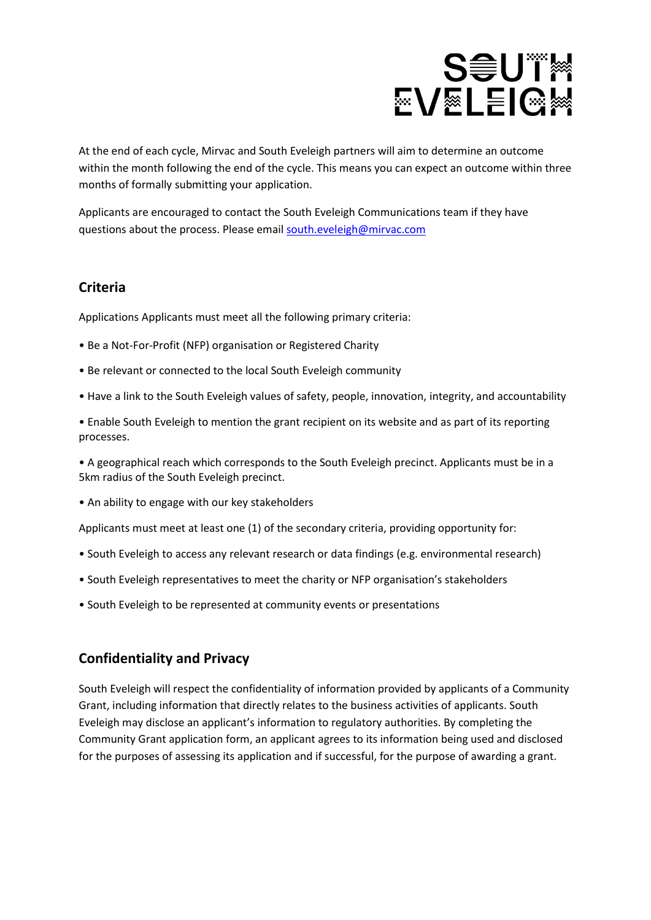# **SOUTM EVELEIGM**

At the end of each cycle, Mirvac and South Eveleigh partners will aim to determine an outcome within the month following the end of the cycle. This means you can expect an outcome within three months of formally submitting your application.

Applicants are encouraged to contact the South Eveleigh Communications team if they have questions about the process. Please email [south.eveleigh@mirvac.com](mailto:south.eveleigh@mirvac.com)

#### **Criteria**

Applications Applicants must meet all the following primary criteria:

- Be a Not-For-Profit (NFP) organisation or Registered Charity
- Be relevant or connected to the local South Eveleigh community
- Have a link to the South Eveleigh values of safety, people, innovation, integrity, and accountability

• Enable South Eveleigh to mention the grant recipient on its website and as part of its reporting processes.

• A geographical reach which corresponds to the South Eveleigh precinct. Applicants must be in a 5km radius of the South Eveleigh precinct.

• An ability to engage with our key stakeholders

Applicants must meet at least one (1) of the secondary criteria, providing opportunity for:

- South Eveleigh to access any relevant research or data findings (e.g. environmental research)
- South Eveleigh representatives to meet the charity or NFP organisation's stakeholders
- South Eveleigh to be represented at community events or presentations

### **Confidentiality and Privacy**

South Eveleigh will respect the confidentiality of information provided by applicants of a Community Grant, including information that directly relates to the business activities of applicants. South Eveleigh may disclose an applicant's information to regulatory authorities. By completing the Community Grant application form, an applicant agrees to its information being used and disclosed for the purposes of assessing its application and if successful, for the purpose of awarding a grant.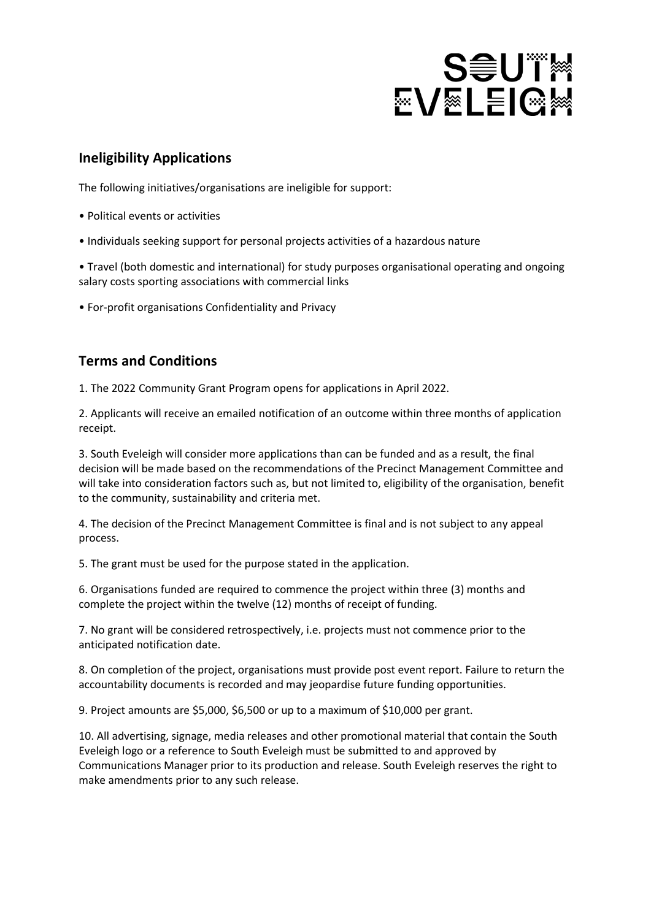# **SOUT EVELEIGH**

## **Ineligibility Applications**

The following initiatives/organisations are ineligible for support:

- Political events or activities
- Individuals seeking support for personal projects activities of a hazardous nature

• Travel (both domestic and international) for study purposes organisational operating and ongoing salary costs sporting associations with commercial links

• For-profit organisations Confidentiality and Privacy

### **Terms and Conditions**

1. The 2022 Community Grant Program opens for applications in April 2022.

2. Applicants will receive an emailed notification of an outcome within three months of application receipt.

3. South Eveleigh will consider more applications than can be funded and as a result, the final decision will be made based on the recommendations of the Precinct Management Committee and will take into consideration factors such as, but not limited to, eligibility of the organisation, benefit to the community, sustainability and criteria met.

4. The decision of the Precinct Management Committee is final and is not subject to any appeal process.

5. The grant must be used for the purpose stated in the application.

6. Organisations funded are required to commence the project within three (3) months and complete the project within the twelve (12) months of receipt of funding.

7. No grant will be considered retrospectively, i.e. projects must not commence prior to the anticipated notification date.

8. On completion of the project, organisations must provide post event report. Failure to return the accountability documents is recorded and may jeopardise future funding opportunities.

9. Project amounts are \$5,000, \$6,500 or up to a maximum of \$10,000 per grant.

10. All advertising, signage, media releases and other promotional material that contain the South Eveleigh logo or a reference to South Eveleigh must be submitted to and approved by Communications Manager prior to its production and release. South Eveleigh reserves the right to make amendments prior to any such release.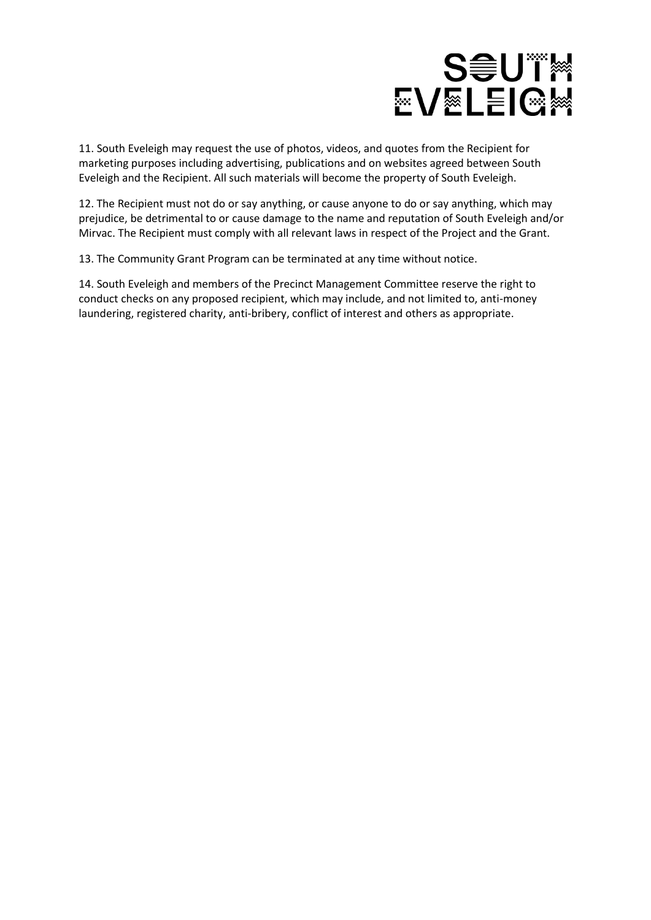

11. South Eveleigh may request the use of photos, videos, and quotes from the Recipient for marketing purposes including advertising, publications and on websites agreed between South Eveleigh and the Recipient. All such materials will become the property of South Eveleigh.

12. The Recipient must not do or say anything, or cause anyone to do or say anything, which may prejudice, be detrimental to or cause damage to the name and reputation of South Eveleigh and/or Mirvac. The Recipient must comply with all relevant laws in respect of the Project and the Grant.

13. The Community Grant Program can be terminated at any time without notice.

14. South Eveleigh and members of the Precinct Management Committee reserve the right to conduct checks on any proposed recipient, which may include, and not limited to, anti-money laundering, registered charity, anti-bribery, conflict of interest and others as appropriate.